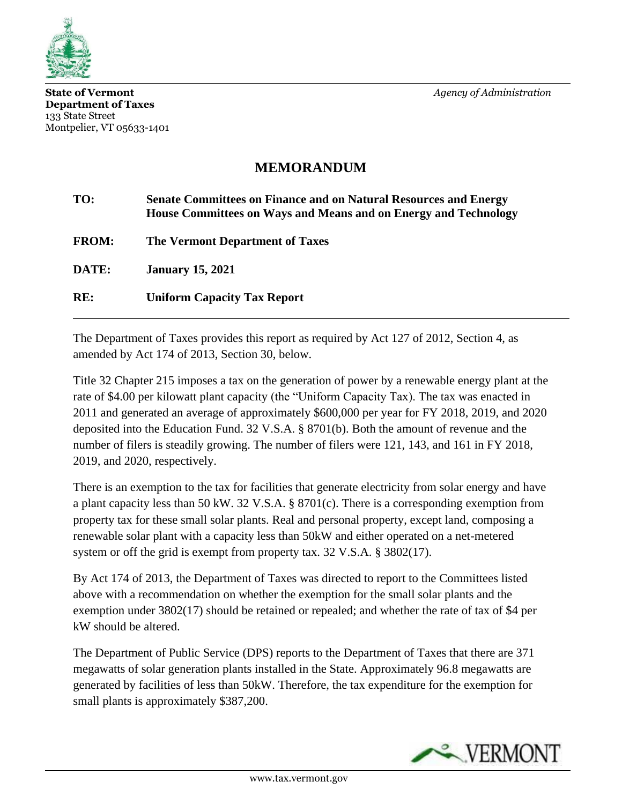

**State of Vermont** *Agency of Administration* **Department of Taxes** 133 State Street Montpelier, VT 05633-1401

## **MEMORANDUM**

| TO:          | <b>Senate Committees on Finance and on Natural Resources and Energy</b><br>House Committees on Ways and Means and on Energy and Technology |
|--------------|--------------------------------------------------------------------------------------------------------------------------------------------|
| <b>FROM:</b> | <b>The Vermont Department of Taxes</b>                                                                                                     |
| DATE:        | <b>January 15, 2021</b>                                                                                                                    |
| RE:          | <b>Uniform Capacity Tax Report</b>                                                                                                         |

The Department of Taxes provides this report as required by Act 127 of 2012, Section 4, as amended by Act 174 of 2013, Section 30, below.

Title 32 Chapter 215 imposes a tax on the generation of power by a renewable energy plant at the rate of \$4.00 per kilowatt plant capacity (the "Uniform Capacity Tax). The tax was enacted in 2011 and generated an average of approximately \$600,000 per year for FY 2018, 2019, and 2020 deposited into the Education Fund. 32 V.S.A. § 8701(b). Both the amount of revenue and the number of filers is steadily growing. The number of filers were 121, 143, and 161 in FY 2018, 2019, and 2020, respectively.

There is an exemption to the tax for facilities that generate electricity from solar energy and have a plant capacity less than 50 kW. 32 V.S.A. § 8701(c). There is a corresponding exemption from property tax for these small solar plants. Real and personal property, except land, composing a renewable solar plant with a capacity less than 50kW and either operated on a net-metered system or off the grid is exempt from property tax. 32 V.S.A. § 3802(17).

By Act 174 of 2013, the Department of Taxes was directed to report to the Committees listed above with a recommendation on whether the exemption for the small solar plants and the exemption under 3802(17) should be retained or repealed; and whether the rate of tax of \$4 per kW should be altered.

The Department of Public Service (DPS) reports to the Department of Taxes that there are 371 megawatts of solar generation plants installed in the State. Approximately 96.8 megawatts are generated by facilities of less than 50kW. Therefore, the tax expenditure for the exemption for small plants is approximately \$387,200.

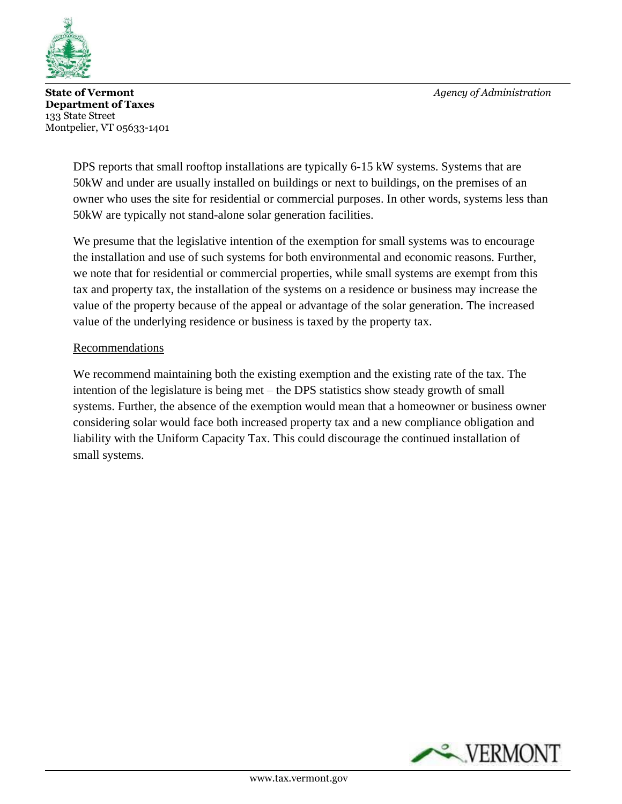

**State of Vermont** *Agency of Administration* **Department of Taxes** 133 State Street Montpelier, VT 05633-1401

DPS reports that small rooftop installations are typically 6-15 kW systems. Systems that are 50kW and under are usually installed on buildings or next to buildings, on the premises of an owner who uses the site for residential or commercial purposes. In other words, systems less than 50kW are typically not stand-alone solar generation facilities.

We presume that the legislative intention of the exemption for small systems was to encourage the installation and use of such systems for both environmental and economic reasons. Further, we note that for residential or commercial properties, while small systems are exempt from this tax and property tax, the installation of the systems on a residence or business may increase the value of the property because of the appeal or advantage of the solar generation. The increased value of the underlying residence or business is taxed by the property tax.

## Recommendations

We recommend maintaining both the existing exemption and the existing rate of the tax. The intention of the legislature is being met – the DPS statistics show steady growth of small systems. Further, the absence of the exemption would mean that a homeowner or business owner considering solar would face both increased property tax and a new compliance obligation and liability with the Uniform Capacity Tax. This could discourage the continued installation of small systems.